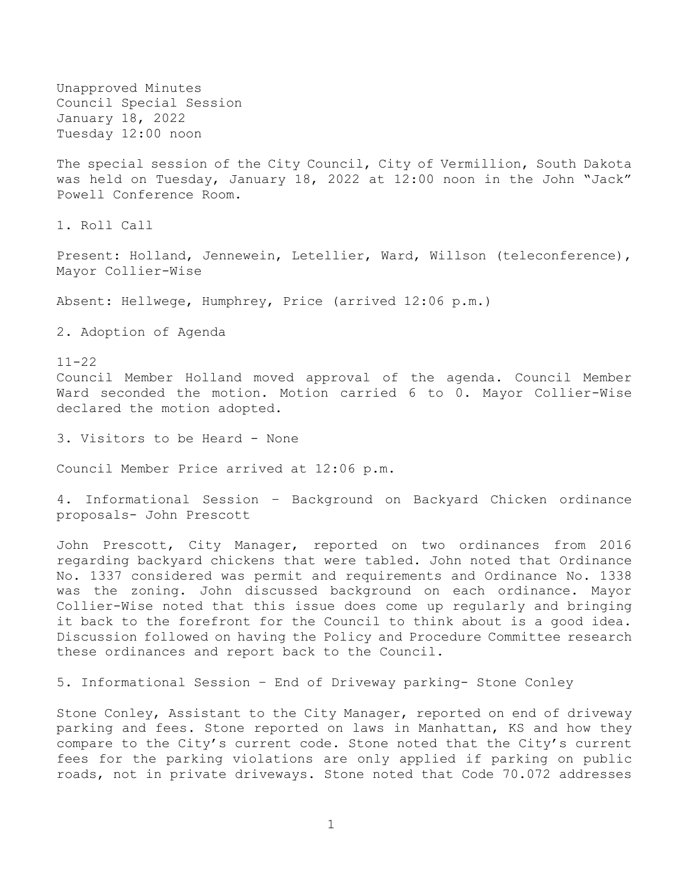Unapproved Minutes Council Special Session January 18, 2022 Tuesday 12:00 noon

The special session of the City Council, City of Vermillion, South Dakota was held on Tuesday, January 18, 2022 at 12:00 noon in the John "Jack" Powell Conference Room.

1. Roll Call

Present: Holland, Jennewein, Letellier, Ward, Willson (teleconference), Mayor Collier-Wise

Absent: Hellwege, Humphrey, Price (arrived 12:06 p.m.)

2. Adoption of Agenda

11-22

Council Member Holland moved approval of the agenda. Council Member Ward seconded the motion. Motion carried 6 to 0. Mayor Collier-Wise declared the motion adopted.

3. Visitors to be Heard - None

Council Member Price arrived at 12:06 p.m.

4. Informational Session – Background on Backyard Chicken ordinance proposals- John Prescott

John Prescott, City Manager, reported on two ordinances from 2016 regarding backyard chickens that were tabled. John noted that Ordinance No. 1337 considered was permit and requirements and Ordinance No. 1338 was the zoning. John discussed background on each ordinance. Mayor Collier-Wise noted that this issue does come up regularly and bringing it back to the forefront for the Council to think about is a good idea. Discussion followed on having the Policy and Procedure Committee research these ordinances and report back to the Council.

5. Informational Session – End of Driveway parking- Stone Conley

Stone Conley, Assistant to the City Manager, reported on end of driveway parking and fees. Stone reported on laws in Manhattan, KS and how they compare to the City's current code. Stone noted that the City's current fees for the parking violations are only applied if parking on public roads, not in private driveways. Stone noted that Code 70.072 addresses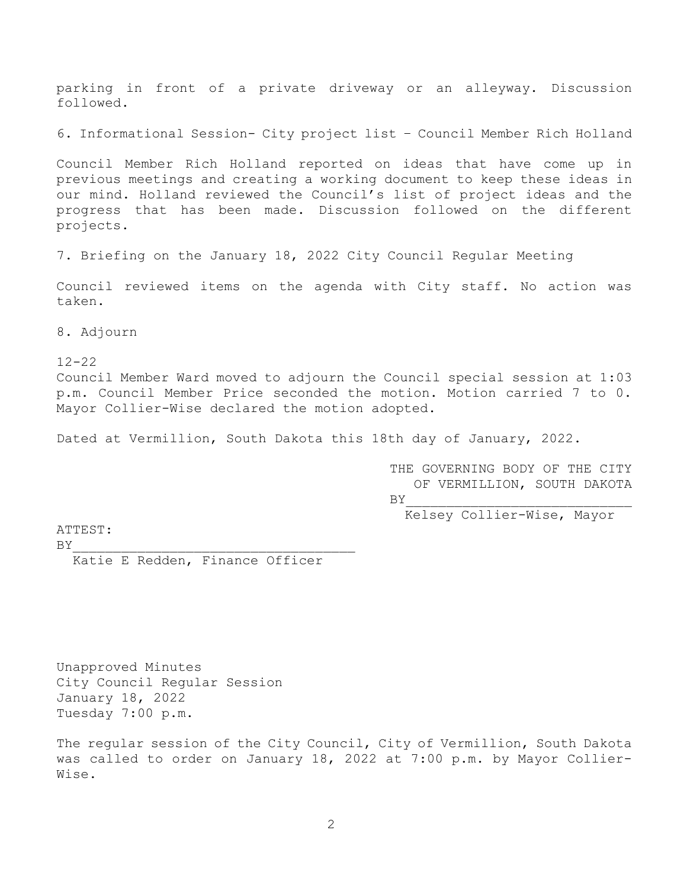parking in front of a private driveway or an alleyway. Discussion followed.

6. Informational Session- City project list – Council Member Rich Holland

Council Member Rich Holland reported on ideas that have come up in previous meetings and creating a working document to keep these ideas in our mind. Holland reviewed the Council's list of project ideas and the progress that has been made. Discussion followed on the different projects.

7. Briefing on the January 18, 2022 City Council Regular Meeting

Council reviewed items on the agenda with City staff. No action was taken.

8. Adjourn

12-22

Council Member Ward moved to adjourn the Council special session at 1:03 p.m. Council Member Price seconded the motion. Motion carried 7 to 0. Mayor Collier-Wise declared the motion adopted.

Dated at Vermillion, South Dakota this 18th day of January, 2022.

THE GOVERNING BODY OF THE CITY OF VERMILLION, SOUTH DAKOTA  $BY$ 

Kelsey Collier-Wise, Mayor

ATTEST:

 $BY$ Katie E Redden, Finance Officer

Unapproved Minutes City Council Regular Session January 18, 2022 Tuesday 7:00 p.m.

The regular session of the City Council, City of Vermillion, South Dakota was called to order on January 18, 2022 at 7:00 p.m. by Mayor Collier-Wise.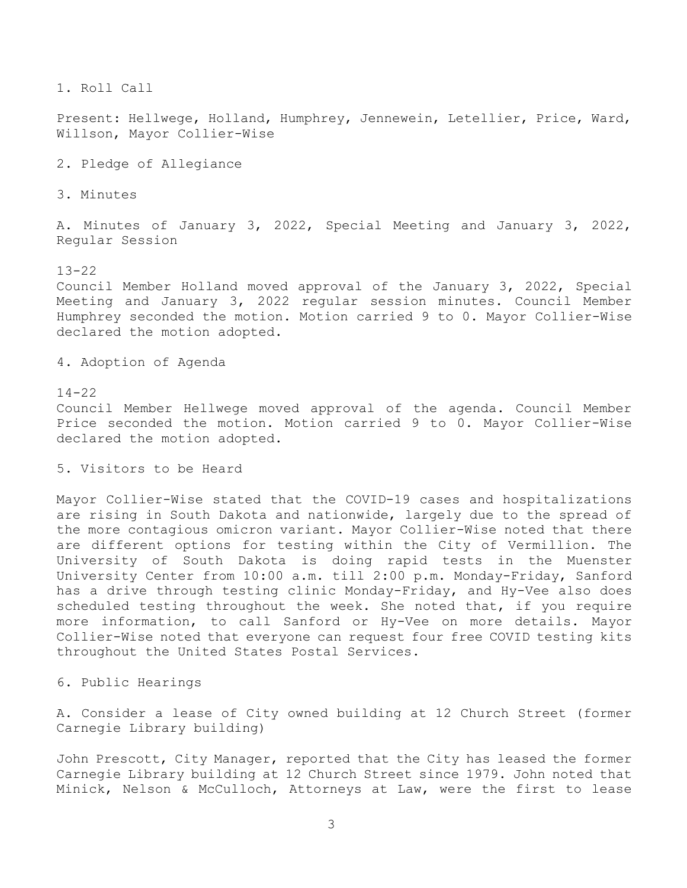1. Roll Call

Present: Hellwege, Holland, Humphrey, Jennewein, Letellier, Price, Ward, Willson, Mayor Collier-Wise

2. Pledge of Allegiance

3. Minutes

A. Minutes of January 3, 2022, Special Meeting and January 3, 2022, Regular Session

13-22

Council Member Holland moved approval of the January 3, 2022, Special Meeting and January 3, 2022 regular session minutes. Council Member Humphrey seconded the motion. Motion carried 9 to 0. Mayor Collier-Wise declared the motion adopted.

4. Adoption of Agenda

#### 14-22

Council Member Hellwege moved approval of the agenda. Council Member Price seconded the motion. Motion carried 9 to 0. Mayor Collier-Wise declared the motion adopted.

5. Visitors to be Heard

Mayor Collier-Wise stated that the COVID-19 cases and hospitalizations are rising in South Dakota and nationwide, largely due to the spread of the more contagious omicron variant. Mayor Collier-Wise noted that there are different options for testing within the City of Vermillion. The University of South Dakota is doing rapid tests in the Muenster University Center from 10:00 a.m. till 2:00 p.m. Monday-Friday, Sanford has a drive through testing clinic Monday-Friday, and Hy-Vee also does scheduled testing throughout the week. She noted that, if you require more information, to call Sanford or Hy-Vee on more details. Mayor Collier-Wise noted that everyone can request four free COVID testing kits throughout the United States Postal Services.

6. Public Hearings

A. Consider a lease of City owned building at 12 Church Street (former Carnegie Library building)

John Prescott, City Manager, reported that the City has leased the former Carnegie Library building at 12 Church Street since 1979. John noted that Minick, Nelson & McCulloch, Attorneys at Law, were the first to lease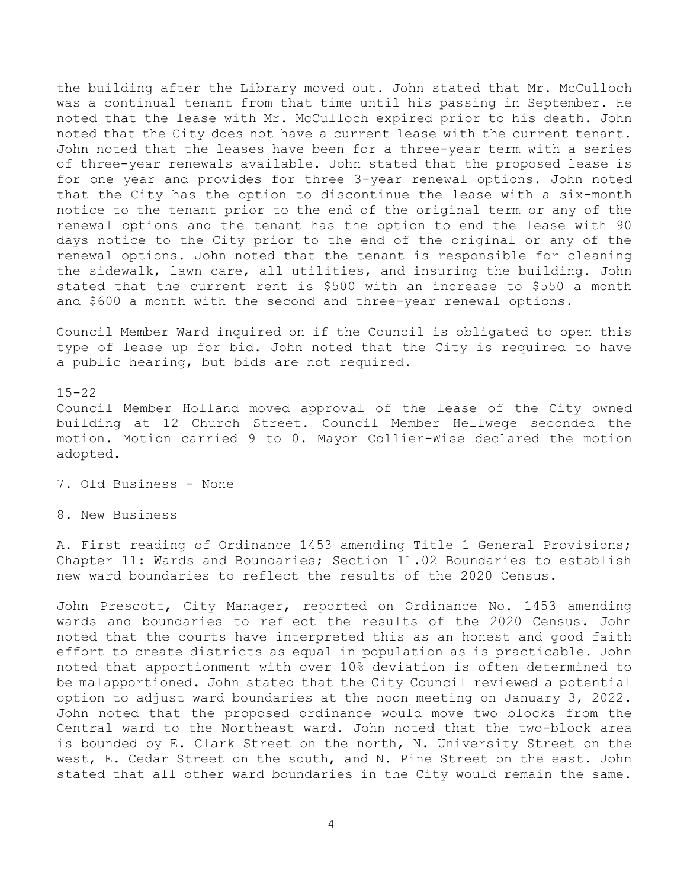the building after the Library moved out. John stated that Mr. McCulloch was a continual tenant from that time until his passing in September. He noted that the lease with Mr. McCulloch expired prior to his death. John noted that the City does not have a current lease with the current tenant. John noted that the leases have been for a three-year term with a series of three-year renewals available. John stated that the proposed lease is for one year and provides for three 3-year renewal options. John noted that the City has the option to discontinue the lease with a six-month notice to the tenant prior to the end of the original term or any of the renewal options and the tenant has the option to end the lease with 90 days notice to the City prior to the end of the original or any of the renewal options. John noted that the tenant is responsible for cleaning the sidewalk, lawn care, all utilities, and insuring the building. John stated that the current rent is \$500 with an increase to \$550 a month and \$600 a month with the second and three-year renewal options.

Council Member Ward inquired on if the Council is obligated to open this type of lease up for bid. John noted that the City is required to have a public hearing, but bids are not required.

15-22 Council Member Holland moved approval of the lease of the City owned building at 12 Church Street. Council Member Hellwege seconded the motion. Motion carried 9 to 0. Mayor Collier-Wise declared the motion adopted.

7. Old Business - None

8. New Business

A. First reading of Ordinance 1453 amending Title 1 General Provisions; Chapter 11: Wards and Boundaries; Section 11.02 Boundaries to establish new ward boundaries to reflect the results of the 2020 Census.

John Prescott, City Manager, reported on Ordinance No. 1453 amending wards and boundaries to reflect the results of the 2020 Census. John noted that the courts have interpreted this as an honest and good faith effort to create districts as equal in population as is practicable. John noted that apportionment with over 10% deviation is often determined to be malapportioned. John stated that the City Council reviewed a potential option to adjust ward boundaries at the noon meeting on January 3, 2022. John noted that the proposed ordinance would move two blocks from the Central ward to the Northeast ward. John noted that the two-block area is bounded by E. Clark Street on the north, N. University Street on the west, E. Cedar Street on the south, and N. Pine Street on the east. John stated that all other ward boundaries in the City would remain the same.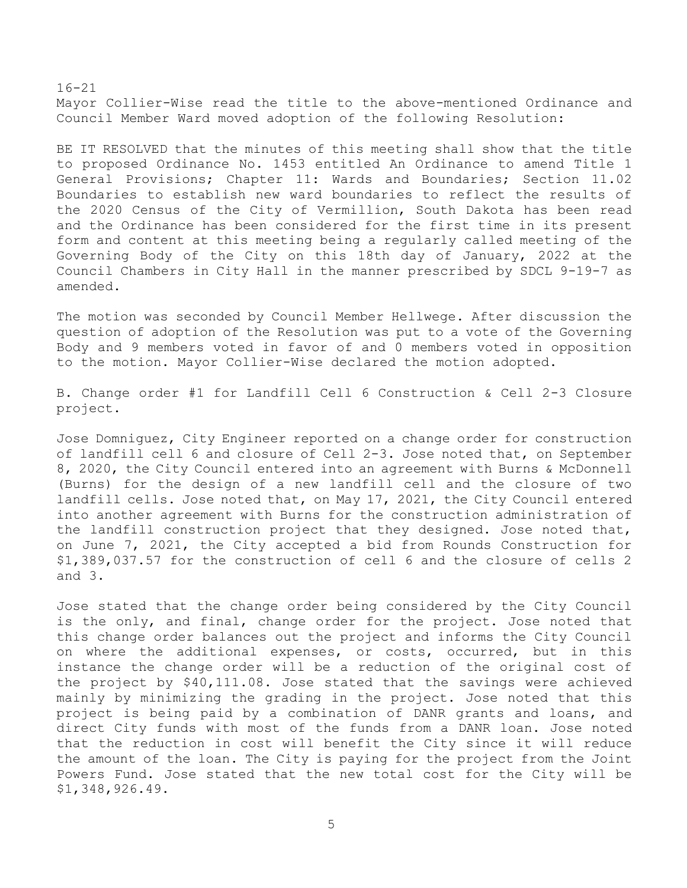16-21 Mayor Collier-Wise read the title to the above-mentioned Ordinance and Council Member Ward moved adoption of the following Resolution:

BE IT RESOLVED that the minutes of this meeting shall show that the title to proposed Ordinance No. 1453 entitled An Ordinance to amend Title 1 General Provisions; Chapter 11: Wards and Boundaries; Section 11.02 Boundaries to establish new ward boundaries to reflect the results of the 2020 Census of the City of Vermillion, South Dakota has been read and the Ordinance has been considered for the first time in its present form and content at this meeting being a regularly called meeting of the Governing Body of the City on this 18th day of January, 2022 at the Council Chambers in City Hall in the manner prescribed by SDCL 9-19-7 as amended.

The motion was seconded by Council Member Hellwege. After discussion the question of adoption of the Resolution was put to a vote of the Governing Body and 9 members voted in favor of and 0 members voted in opposition to the motion. Mayor Collier-Wise declared the motion adopted.

B. Change order #1 for Landfill Cell 6 Construction & Cell 2-3 Closure project.

Jose Domniguez, City Engineer reported on a change order for construction of landfill cell 6 and closure of Cell 2-3. Jose noted that, on September 8, 2020, the City Council entered into an agreement with Burns & McDonnell (Burns) for the design of a new landfill cell and the closure of two landfill cells. Jose noted that, on May 17, 2021, the City Council entered into another agreement with Burns for the construction administration of the landfill construction project that they designed. Jose noted that, on June 7, 2021, the City accepted a bid from Rounds Construction for \$1,389,037.57 for the construction of cell 6 and the closure of cells 2 and 3.

Jose stated that the change order being considered by the City Council is the only, and final, change order for the project. Jose noted that this change order balances out the project and informs the City Council on where the additional expenses, or costs, occurred, but in this instance the change order will be a reduction of the original cost of the project by \$40,111.08. Jose stated that the savings were achieved mainly by minimizing the grading in the project. Jose noted that this project is being paid by a combination of DANR grants and loans, and direct City funds with most of the funds from a DANR loan. Jose noted that the reduction in cost will benefit the City since it will reduce the amount of the loan. The City is paying for the project from the Joint Powers Fund. Jose stated that the new total cost for the City will be \$1,348,926.49.

5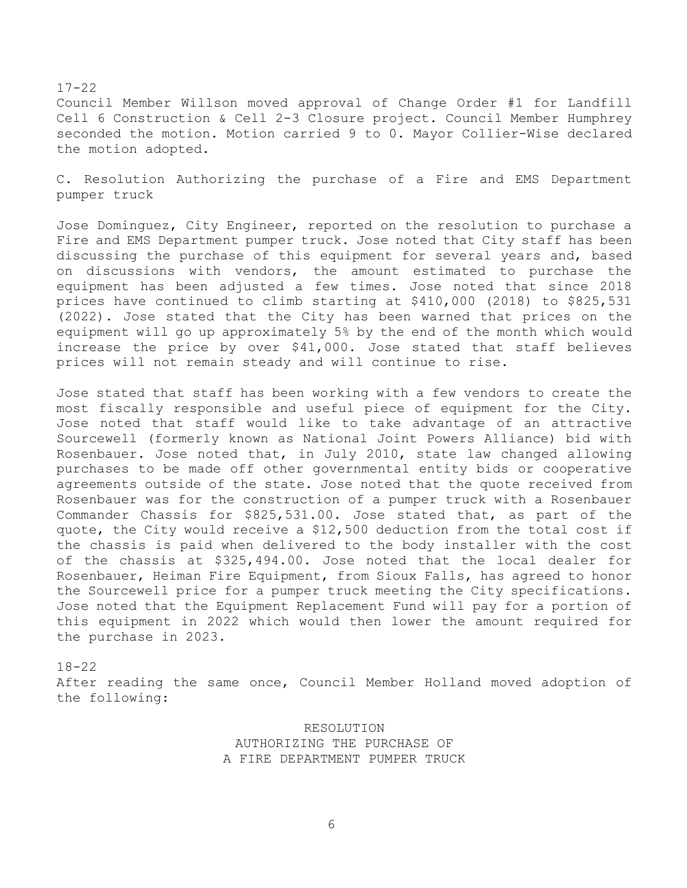Council Member Willson moved approval of Change Order #1 for Landfill Cell 6 Construction & Cell 2-3 Closure project. Council Member Humphrey seconded the motion. Motion carried 9 to 0. Mayor Collier-Wise declared the motion adopted.

C. Resolution Authorizing the purchase of a Fire and EMS Department pumper truck

Jose Dominguez, City Engineer, reported on the resolution to purchase a Fire and EMS Department pumper truck. Jose noted that City staff has been discussing the purchase of this equipment for several years and, based on discussions with vendors, the amount estimated to purchase the equipment has been adjusted a few times. Jose noted that since 2018 prices have continued to climb starting at \$410,000 (2018) to \$825,531 (2022). Jose stated that the City has been warned that prices on the equipment will go up approximately 5% by the end of the month which would increase the price by over \$41,000. Jose stated that staff believes prices will not remain steady and will continue to rise.

Jose stated that staff has been working with a few vendors to create the most fiscally responsible and useful piece of equipment for the City. Jose noted that staff would like to take advantage of an attractive Sourcewell (formerly known as National Joint Powers Alliance) bid with Rosenbauer. Jose noted that, in July 2010, state law changed allowing purchases to be made off other governmental entity bids or cooperative agreements outside of the state. Jose noted that the quote received from Rosenbauer was for the construction of a pumper truck with a Rosenbauer Commander Chassis for \$825,531.00. Jose stated that, as part of the quote, the City would receive a \$12,500 deduction from the total cost if the chassis is paid when delivered to the body installer with the cost of the chassis at \$325,494.00. Jose noted that the local dealer for Rosenbauer, Heiman Fire Equipment, from Sioux Falls, has agreed to honor the Sourcewell price for a pumper truck meeting the City specifications. Jose noted that the Equipment Replacement Fund will pay for a portion of this equipment in 2022 which would then lower the amount required for the purchase in 2023.

# 18-22 After reading the same once, Council Member Holland moved adoption of the following:

RESOLUTION AUTHORIZING THE PURCHASE OF A FIRE DEPARTMENT PUMPER TRUCK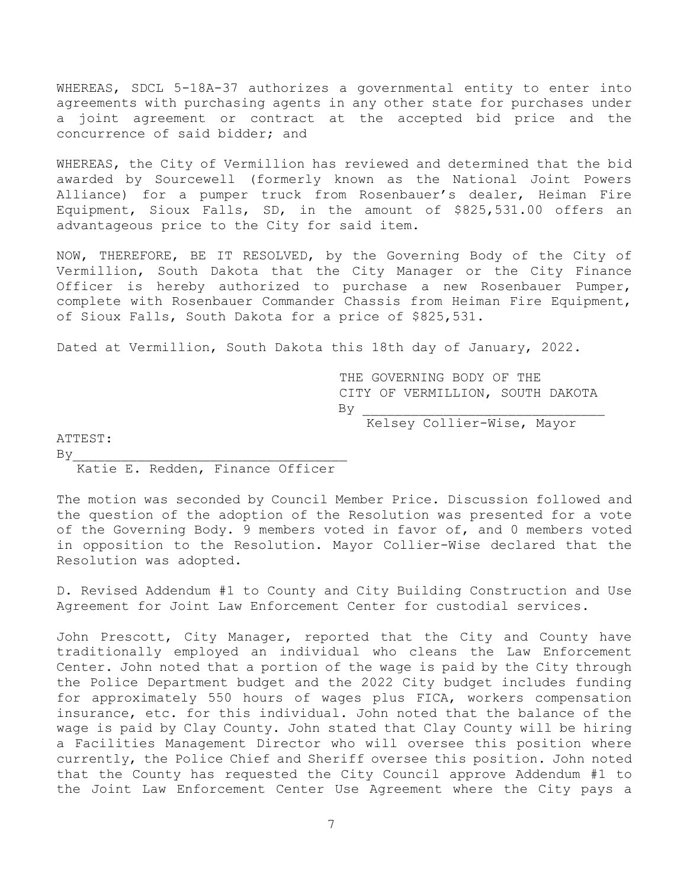WHEREAS, SDCL 5-18A-37 authorizes a governmental entity to enter into agreements with purchasing agents in any other state for purchases under a joint agreement or contract at the accepted bid price and the concurrence of said bidder; and

WHEREAS, the City of Vermillion has reviewed and determined that the bid awarded by Sourcewell (formerly known as the National Joint Powers Alliance) for a pumper truck from Rosenbauer's dealer, Heiman Fire Equipment, Sioux Falls, SD, in the amount of \$825,531.00 offers an advantageous price to the City for said item.

NOW, THEREFORE, BE IT RESOLVED, by the Governing Body of the City of Vermillion, South Dakota that the City Manager or the City Finance Officer is hereby authorized to purchase a new Rosenbauer Pumper, complete with Rosenbauer Commander Chassis from Heiman Fire Equipment, of Sioux Falls, South Dakota for a price of \$825,531.

Dated at Vermillion, South Dakota this 18th day of January, 2022.

THE GOVERNING BODY OF THE CITY OF VERMILLION, SOUTH DAKOTA  $By$ 

Kelsey Collier-Wise, Mayor

ATTEST:

## $By$ Katie E. Redden, Finance Officer

The motion was seconded by Council Member Price. Discussion followed and the question of the adoption of the Resolution was presented for a vote of the Governing Body. 9 members voted in favor of, and 0 members voted in opposition to the Resolution. Mayor Collier-Wise declared that the Resolution was adopted.

D. Revised Addendum #1 to County and City Building Construction and Use Agreement for Joint Law Enforcement Center for custodial services.

John Prescott, City Manager, reported that the City and County have traditionally employed an individual who cleans the Law Enforcement Center. John noted that a portion of the wage is paid by the City through the Police Department budget and the 2022 City budget includes funding for approximately 550 hours of wages plus FICA, workers compensation insurance, etc. for this individual. John noted that the balance of the wage is paid by Clay County. John stated that Clay County will be hiring a Facilities Management Director who will oversee this position where currently, the Police Chief and Sheriff oversee this position. John noted that the County has requested the City Council approve Addendum #1 to the Joint Law Enforcement Center Use Agreement where the City pays a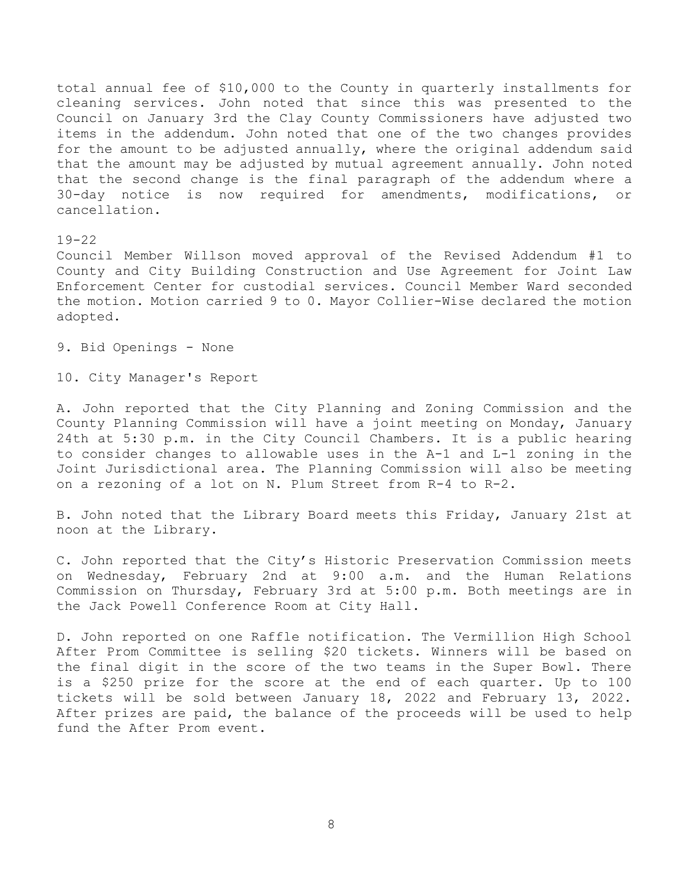total annual fee of \$10,000 to the County in quarterly installments for cleaning services. John noted that since this was presented to the Council on January 3rd the Clay County Commissioners have adjusted two items in the addendum. John noted that one of the two changes provides for the amount to be adjusted annually, where the original addendum said that the amount may be adjusted by mutual agreement annually. John noted that the second change is the final paragraph of the addendum where a 30-day notice is now required for amendments, modifications, or cancellation.

#### 19-22

Council Member Willson moved approval of the Revised Addendum #1 to County and City Building Construction and Use Agreement for Joint Law Enforcement Center for custodial services. Council Member Ward seconded the motion. Motion carried 9 to 0. Mayor Collier-Wise declared the motion adopted.

9. Bid Openings - None

10. City Manager's Report

A. John reported that the City Planning and Zoning Commission and the County Planning Commission will have a joint meeting on Monday, January 24th at 5:30 p.m. in the City Council Chambers. It is a public hearing to consider changes to allowable uses in the A-1 and L-1 zoning in the Joint Jurisdictional area. The Planning Commission will also be meeting on a rezoning of a lot on N. Plum Street from R-4 to R-2.

B. John noted that the Library Board meets this Friday, January 21st at noon at the Library.

C. John reported that the City's Historic Preservation Commission meets on Wednesday, February 2nd at 9:00 a.m. and the Human Relations Commission on Thursday, February 3rd at 5:00 p.m. Both meetings are in the Jack Powell Conference Room at City Hall.

D. John reported on one Raffle notification. The Vermillion High School After Prom Committee is selling \$20 tickets. Winners will be based on the final digit in the score of the two teams in the Super Bowl. There is a \$250 prize for the score at the end of each quarter. Up to 100 tickets will be sold between January 18, 2022 and February 13, 2022. After prizes are paid, the balance of the proceeds will be used to help fund the After Prom event.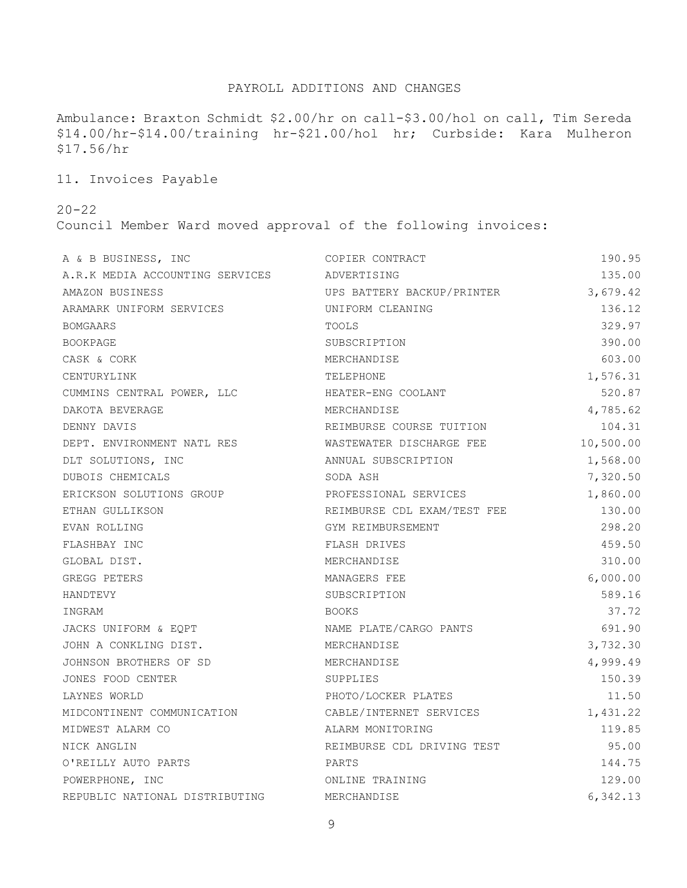## PAYROLL ADDITIONS AND CHANGES

Ambulance: Braxton Schmidt \$2.00/hr on call-\$3.00/hol on call, Tim Sereda \$14.00/hr-\$14.00/training hr-\$21.00/hol hr; Curbside: Kara Mulheron \$17.56/hr

11. Invoices Payable

20-22

Council Member Ward moved approval of the following invoices:

| A & B BUSINESS, INC             | COPIER CONTRACT             | 190.95    |
|---------------------------------|-----------------------------|-----------|
| A.R.K MEDIA ACCOUNTING SERVICES | ADVERTISING                 | 135.00    |
| AMAZON BUSINESS                 | UPS BATTERY BACKUP/PRINTER  | 3,679.42  |
| ARAMARK UNIFORM SERVICES        | UNIFORM CLEANING            | 136.12    |
| <b>BOMGAARS</b>                 | TOOLS                       | 329.97    |
| BOOKPAGE                        | SUBSCRIPTION                | 390.00    |
| CASK & CORK                     | MERCHANDISE                 | 603.00    |
| CENTURYLINK                     | TELEPHONE                   | 1,576.31  |
| CUMMINS CENTRAL POWER, LLC      | HEATER-ENG COOLANT          | 520.87    |
| DAKOTA BEVERAGE                 | MERCHANDISE                 | 4,785.62  |
| DENNY DAVIS                     | REIMBURSE COURSE TUITION    | 104.31    |
| DEPT. ENVIRONMENT NATL RES      | WASTEWATER DISCHARGE FEE    | 10,500.00 |
| DLT SOLUTIONS, INC              | ANNUAL SUBSCRIPTION         | 1,568.00  |
| DUBOIS CHEMICALS                | SODA ASH                    | 7,320.50  |
| ERICKSON SOLUTIONS GROUP        | PROFESSIONAL SERVICES       | 1,860.00  |
| ETHAN GULLIKSON                 | REIMBURSE CDL EXAM/TEST FEE | 130.00    |
| EVAN ROLLING                    | GYM REIMBURSEMENT           | 298.20    |
| FLASHBAY INC                    | FLASH DRIVES                | 459.50    |
| GLOBAL DIST.                    | MERCHANDISE                 | 310.00    |
| GREGG PETERS                    | MANAGERS FEE                | 6,000.00  |
| HANDTEVY                        | SUBSCRIPTION                | 589.16    |
| INGRAM                          | <b>BOOKS</b>                | 37.72     |
| JACKS UNIFORM & EQPT            | NAME PLATE/CARGO PANTS      | 691.90    |
| JOHN A CONKLING DIST.           | MERCHANDISE                 | 3,732.30  |
| JOHNSON BROTHERS OF SD          | MERCHANDISE                 | 4,999.49  |
| JONES FOOD CENTER               | SUPPLIES                    | 150.39    |
| LAYNES WORLD                    | PHOTO/LOCKER PLATES         | 11.50     |
| MIDCONTINENT COMMUNICATION      | CABLE/INTERNET SERVICES     | 1,431.22  |
| MIDWEST ALARM CO                | ALARM MONITORING            | 119.85    |
| NICK ANGLIN                     | REIMBURSE CDL DRIVING TEST  | 95.00     |
| O'REILLY AUTO PARTS             | PARTS                       | 144.75    |
| POWERPHONE, INC                 | ONLINE TRAINING             | 129.00    |
| REPUBLIC NATIONAL DISTRIBUTING  | MERCHANDISE                 | 6,342.13  |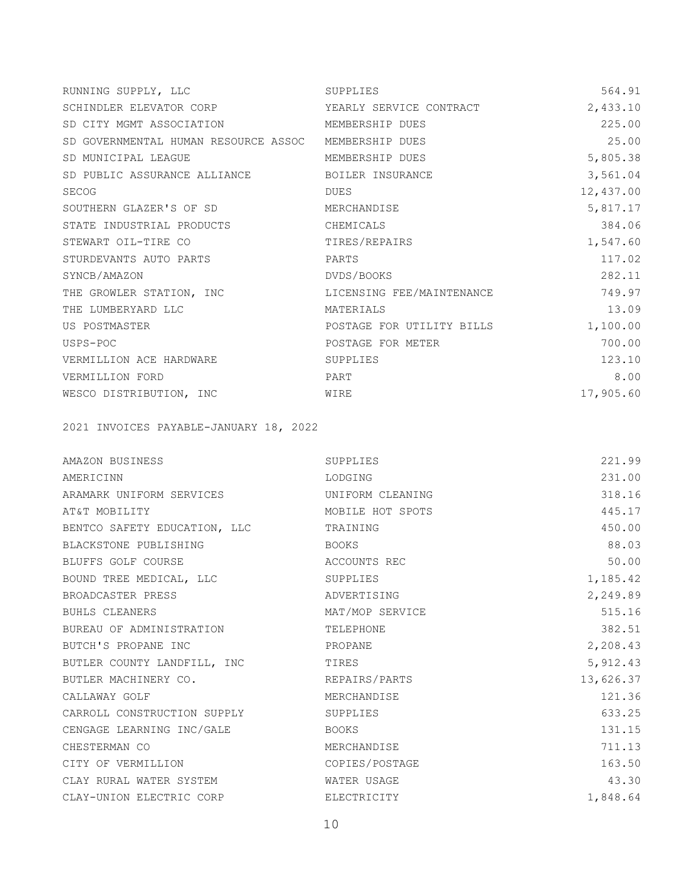| RUNNING SUPPLY, LLC                                  | SUPPLIES                  | 564.91    |
|------------------------------------------------------|---------------------------|-----------|
| SCHINDLER ELEVATOR CORP                              | YEARLY SERVICE CONTRACT   | 2,433.10  |
| SD CITY MGMT ASSOCIATION                             | MEMBERSHIP DUES           | 225.00    |
| SD GOVERNMENTAL HUMAN RESOURCE ASSOC MEMBERSHIP DUES |                           | 25.00     |
| SD MUNICIPAL LEAGUE                                  | MEMBERSHIP DUES           | 5,805.38  |
| SD PUBLIC ASSURANCE ALLIANCE                         | BOILER INSURANCE          | 3,561.04  |
| <b>SECOG</b>                                         | DUES                      | 12,437.00 |
| SOUTHERN GLAZER'S OF SD                              | MERCHANDISE               | 5,817.17  |
| STATE INDUSTRIAL PRODUCTS                            | CHEMICALS                 | 384.06    |
| STEWART OIL-TIRE CO                                  | TIRES/REPAIRS             | 1,547.60  |
| STURDEVANTS AUTO PARTS                               | PARTS                     | 117.02    |
| SYNCB/AMAZON                                         | DVDS/BOOKS                | 282.11    |
| THE GROWLER STATION, INC                             | LICENSING FEE/MAINTENANCE | 749.97    |
| THE LUMBERYARD LLC                                   | MATERIALS                 | 13.09     |
| US POSTMASTER                                        | POSTAGE FOR UTILITY BILLS | 1,100.00  |
| USPS-POC                                             | POSTAGE FOR METER         | 700.00    |
| VERMILLION ACE HARDWARE                              | SUPPLIES                  | 123.10    |
| VERMILLION FORD                                      | PART                      | 8.00      |
| WESCO DISTRIBUTION, INC                              | WIRE                      | 17,905.60 |

2021 INVOICES PAYABLE-JANUARY 18, 2022

| AMAZON BUSINESS              | SUPPLIES         | 221.99    |
|------------------------------|------------------|-----------|
| AMERICINN                    | LODGING          | 231.00    |
| ARAMARK UNIFORM SERVICES     | UNIFORM CLEANING | 318.16    |
| AT&T MOBILITY                | MOBILE HOT SPOTS | 445.17    |
| BENTCO SAFETY EDUCATION, LLC | TRAINING         | 450.00    |
| BLACKSTONE PUBLISHING        | BOOKS            | 88.03     |
| BLUFFS GOLF COURSE           | ACCOUNTS REC     | 50.00     |
| BOUND TREE MEDICAL, LLC      | SUPPLIES         | 1,185.42  |
| BROADCASTER PRESS            | ADVERTISING      | 2,249.89  |
| <b>BUHLS CLEANERS</b>        | MAT/MOP SERVICE  | 515.16    |
| BUREAU OF ADMINISTRATION     | TELEPHONE        | 382.51    |
| BUTCH'S PROPANE INC          | PROPANE          | 2,208.43  |
| BUTLER COUNTY LANDFILL, INC  | TIRES            | 5, 912.43 |
| BUTLER MACHINERY CO.         | REPAIRS/PARTS    | 13,626.37 |
| CALLAWAY GOLF                | MERCHANDISE      | 121.36    |
| CARROLL CONSTRUCTION SUPPLY  | SUPPLIES         | 633.25    |
| CENGAGE LEARNING INC/GALE    | BOOKS            | 131.15    |
| CHESTERMAN CO                | MERCHANDISE      | 711.13    |
| CITY OF VERMILLION           | COPIES/POSTAGE   | 163.50    |
| CLAY RURAL WATER SYSTEM      | WATER USAGE      | 43.30     |
| CLAY-UNION ELECTRIC CORP     | ELECTRICITY      | 1,848.64  |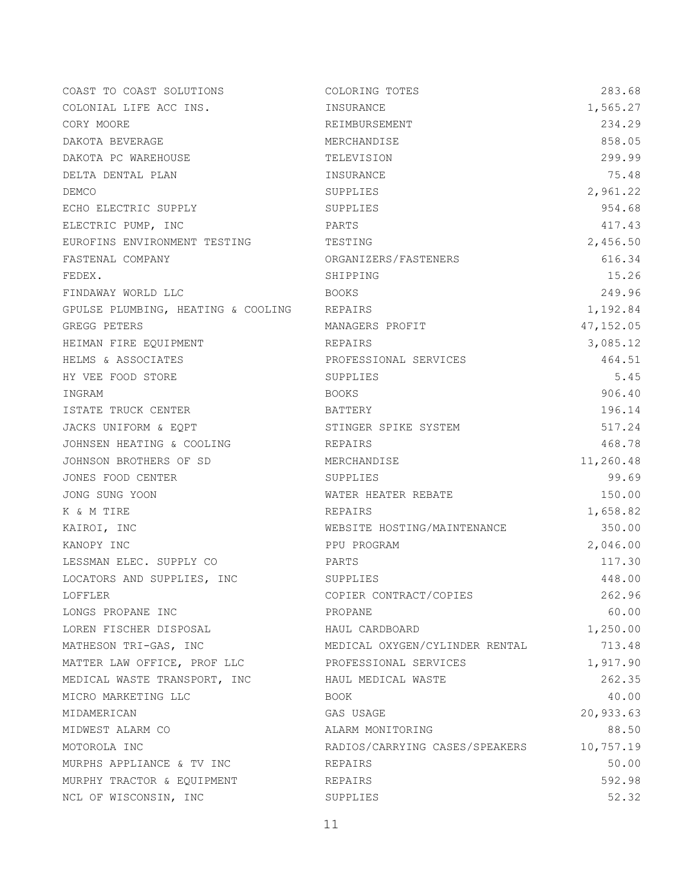| COAST TO COAST SOLUTIONS           | COLORING TOTES                 | 283.68     |
|------------------------------------|--------------------------------|------------|
| COLONIAL LIFE ACC INS.             | INSURANCE                      | 1,565.27   |
| CORY MOORE                         | REIMBURSEMENT                  | 234.29     |
| DAKOTA BEVERAGE                    | MERCHANDISE                    | 858.05     |
| DAKOTA PC WAREHOUSE                | TELEVISION                     | 299.99     |
| DELTA DENTAL PLAN                  | INSURANCE                      | 75.48      |
| DEMCO                              | SUPPLIES                       | 2,961.22   |
| ECHO ELECTRIC SUPPLY               | SUPPLIES                       | 954.68     |
| ELECTRIC PUMP, INC                 | PARTS                          | 417.43     |
| EUROFINS ENVIRONMENT TESTING       | TESTING                        | 2,456.50   |
| FASTENAL COMPANY                   | ORGANIZERS/FASTENERS           | 616.34     |
| FEDEX.                             | SHIPPING                       | 15.26      |
| FINDAWAY WORLD LLC                 | BOOKS                          | 249.96     |
| GPULSE PLUMBING, HEATING & COOLING | REPAIRS                        | 1,192.84   |
| GREGG PETERS                       | MANAGERS PROFIT                | 47, 152.05 |
| HEIMAN FIRE EQUIPMENT              | REPAIRS                        | 3,085.12   |
| HELMS & ASSOCIATES                 | PROFESSIONAL SERVICES          | 464.51     |
| HY VEE FOOD STORE                  | SUPPLIES                       | 5.45       |
| INGRAM                             | <b>BOOKS</b>                   | 906.40     |
| ISTATE TRUCK CENTER                | BATTERY                        | 196.14     |
| JACKS UNIFORM & EQPT               | STINGER SPIKE SYSTEM           | 517.24     |
| JOHNSEN HEATING & COOLING          | REPAIRS                        | 468.78     |
| JOHNSON BROTHERS OF SD             | MERCHANDISE                    | 11,260.48  |
| JONES FOOD CENTER                  | SUPPLIES                       | 99.69      |
| JONG SUNG YOON                     | WATER HEATER REBATE            | 150.00     |
| K & M TIRE                         | REPAIRS                        | 1,658.82   |
| KAIROI, INC                        | WEBSITE HOSTING/MAINTENANCE    | 350.00     |
| KANOPY INC                         | PPU PROGRAM                    | 2,046.00   |
| LESSMAN ELEC. SUPPLY CO            | PARTS                          | 117.30     |
| LOCATORS AND SUPPLIES, INC         | SUPPLIES                       | 448.00     |
| LOFFLER                            | COPIER CONTRACT/COPIES         | 262.96     |
| LONGS PROPANE INC                  | PROPANE                        | 60.00      |
| LOREN FISCHER DISPOSAL             | HAUL CARDBOARD                 | 1,250.00   |
| MATHESON TRI-GAS, INC              | MEDICAL OXYGEN/CYLINDER RENTAL | 713.48     |
| MATTER LAW OFFICE, PROF LLC        | PROFESSIONAL SERVICES          | 1,917.90   |
| MEDICAL WASTE TRANSPORT, INC       | HAUL MEDICAL WASTE             | 262.35     |
| MICRO MARKETING LLC                | BOOK                           | 40.00      |
| MIDAMERICAN                        | GAS USAGE                      | 20,933.63  |
| MIDWEST ALARM CO                   | ALARM MONITORING               | 88.50      |
| MOTOROLA INC                       | RADIOS/CARRYING CASES/SPEAKERS | 10,757.19  |
| MURPHS APPLIANCE & TV INC          | REPAIRS                        | 50.00      |
| MURPHY TRACTOR & EQUIPMENT         | REPAIRS                        | 592.98     |
| NCL OF WISCONSIN, INC              | SUPPLIES                       | 52.32      |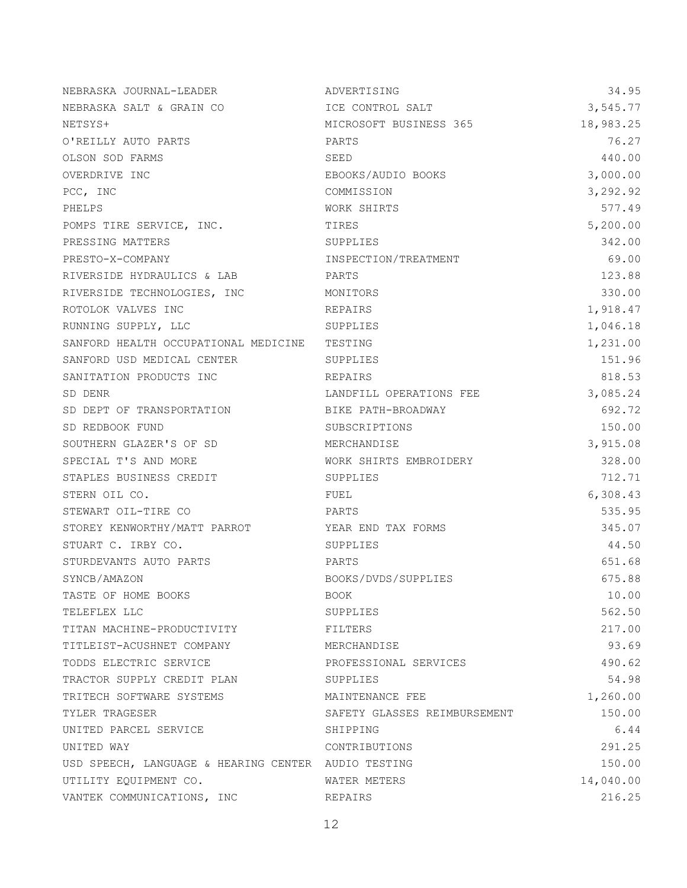| NEBRASKA JOURNAL-LEADER                             | ADVERTISING                  | 34.95     |
|-----------------------------------------------------|------------------------------|-----------|
| NEBRASKA SALT & GRAIN CO                            | ICE CONTROL SALT             | 3,545.77  |
| NETSYS+                                             | MICROSOFT BUSINESS 365       | 18,983.25 |
| O'REILLY AUTO PARTS                                 | PARTS                        | 76.27     |
| OLSON SOD FARMS                                     | SEED                         | 440.00    |
| OVERDRIVE INC                                       | EBOOKS/AUDIO BOOKS           | 3,000.00  |
| PCC, INC                                            | COMMISSION                   | 3,292.92  |
| PHELPS                                              | WORK SHIRTS                  | 577.49    |
| POMPS TIRE SERVICE, INC.                            | TIRES                        | 5,200.00  |
| PRESSING MATTERS                                    | SUPPLIES                     | 342.00    |
| PRESTO-X-COMPANY                                    | INSPECTION/TREATMENT         | 69.00     |
| RIVERSIDE HYDRAULICS & LAB                          | PARTS                        | 123.88    |
| RIVERSIDE TECHNOLOGIES, INC                         | MONITORS                     | 330.00    |
| ROTOLOK VALVES INC                                  | REPAIRS                      | 1,918.47  |
| RUNNING SUPPLY, LLC                                 | SUPPLIES                     | 1,046.18  |
| SANFORD HEALTH OCCUPATIONAL MEDICINE                | TESTING                      | 1,231.00  |
| SANFORD USD MEDICAL CENTER                          | SUPPLIES                     | 151.96    |
| SANITATION PRODUCTS INC                             | REPAIRS                      | 818.53    |
| SD DENR                                             | LANDFILL OPERATIONS FEE      | 3,085.24  |
| SD DEPT OF TRANSPORTATION                           | BIKE PATH-BROADWAY           | 692.72    |
| SD REDBOOK FUND                                     | SUBSCRIPTIONS                | 150.00    |
| SOUTHERN GLAZER'S OF SD                             | MERCHANDISE                  | 3,915.08  |
| SPECIAL T'S AND MORE                                | WORK SHIRTS EMBROIDERY       | 328.00    |
| STAPLES BUSINESS CREDIT                             | SUPPLIES                     | 712.71    |
| STERN OIL CO.                                       | FUEL                         | 6,308.43  |
| STEWART OIL-TIRE CO                                 | PARTS                        | 535.95    |
| STOREY KENWORTHY/MATT PARROT                        | YEAR END TAX FORMS           | 345.07    |
| STUART C. IRBY CO.                                  | SUPPLIES                     | 44.50     |
| STURDEVANTS AUTO PARTS                              | PARTS                        | 651.68    |
| SYNCB/AMAZON                                        | BOOKS/DVDS/SUPPLIES          | 675.88    |
| TASTE OF HOME BOOKS                                 | BOOK                         | 10.00     |
| TELEFLEX LLC                                        | SUPPLIES                     | 562.50    |
| TITAN MACHINE-PRODUCTIVITY                          | FILTERS                      | 217.00    |
| TITLEIST-ACUSHNET COMPANY                           | MERCHANDISE                  | 93.69     |
| TODDS ELECTRIC SERVICE                              | PROFESSIONAL SERVICES        | 490.62    |
| TRACTOR SUPPLY CREDIT PLAN                          | SUPPLIES                     | 54.98     |
| TRITECH SOFTWARE SYSTEMS                            | MAINTENANCE FEE              | 1,260.00  |
| TYLER TRAGESER                                      | SAFETY GLASSES REIMBURSEMENT | 150.00    |
| UNITED PARCEL SERVICE                               | SHIPPING                     | 6.44      |
| UNITED WAY                                          | CONTRIBUTIONS                | 291.25    |
| USD SPEECH, LANGUAGE & HEARING CENTER AUDIO TESTING |                              | 150.00    |
| UTILITY EQUIPMENT CO.                               | WATER METERS                 | 14,040.00 |
| VANTEK COMMUNICATIONS, INC                          | REPAIRS                      | 216.25    |